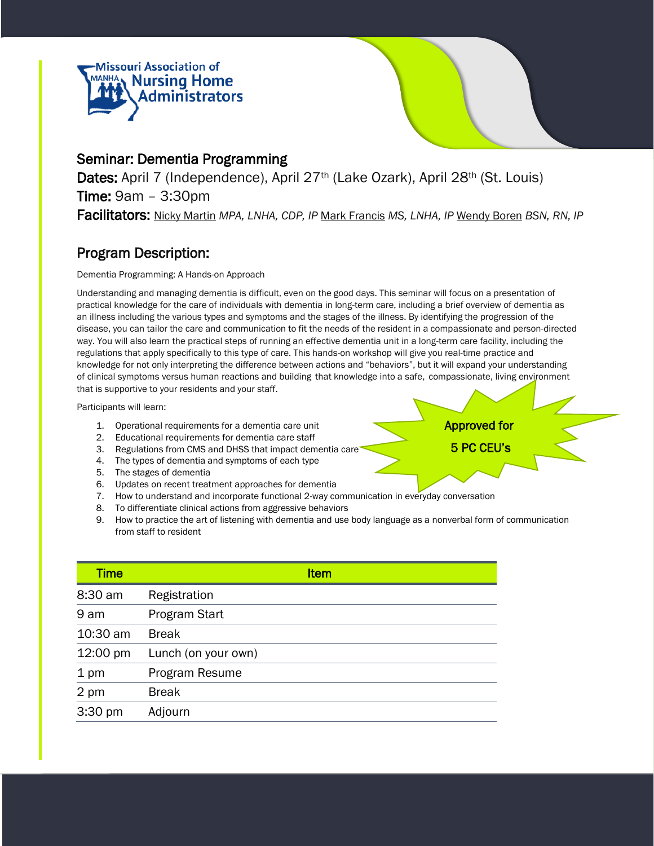



### Seminar: Dementia Programming

Dates: April 7 (Independence), April 27<sup>th</sup> (Lake Ozark), April 28<sup>th</sup> (St. Louis) Time: 9am – 3:30pm Facilitators: Nicky Martin *MPA, LNHA, CDP, IP* Mark Francis *MS, LNHA, IP* Wendy Boren *BSN, RN, IP*

### Program Description:

Dementia Programming: A Hands-on Approach

Understanding and managing dementia is difficult, even on the good days. This seminar will focus on a presentation of practical knowledge for the care of individuals with dementia in long-term care, including a brief overview of dementia as an illness including the various types and symptoms and the stages of the illness. By identifying the progression of the disease, you can tailor the care and communication to fit the needs of the resident in a compassionate and person-directed way. You will also learn the practical steps of running an effective dementia unit in a long-term care facility, including the regulations that apply specifically to this type of care. This hands-on workshop will give you real-time practice and knowledge for not only interpreting the difference between actions and "behaviors", but it will expand your understanding of clinical symptoms versus human reactions and building that knowledge into a safe, compassionate, living environment that is supportive to your residents and your staff.

Participants will learn:

- 1. Operational requirements for a dementia care unit
- 2. Educational requirements for dementia care staff
- 3. Regulations from CMS and DHSS that impact dementia care
- 4. The types of dementia and symptoms of each type
- 5. The stages of dementia
- 6. Updates on recent treatment approaches for dementia
- 7. How to understand and incorporate functional 2-way communication in everyday conversation
- 8. To differentiate clinical actions from aggressive behaviors
- 9. How to practice the art of listening with dementia and use body language as a nonverbal form of communication from staff to resident

| <b>Time</b> | <b>Item</b>         |
|-------------|---------------------|
| 8:30 am     | Registration        |
| 9 am        | Program Start       |
| 10:30 am    | <b>Break</b>        |
| 12:00 pm    | Lunch (on your own) |
| 1 pm        | Program Resume      |
| 2 pm        | <b>Break</b>        |
| 3:30 pm     | Adjourn             |

Approved for

5 PC CEU's